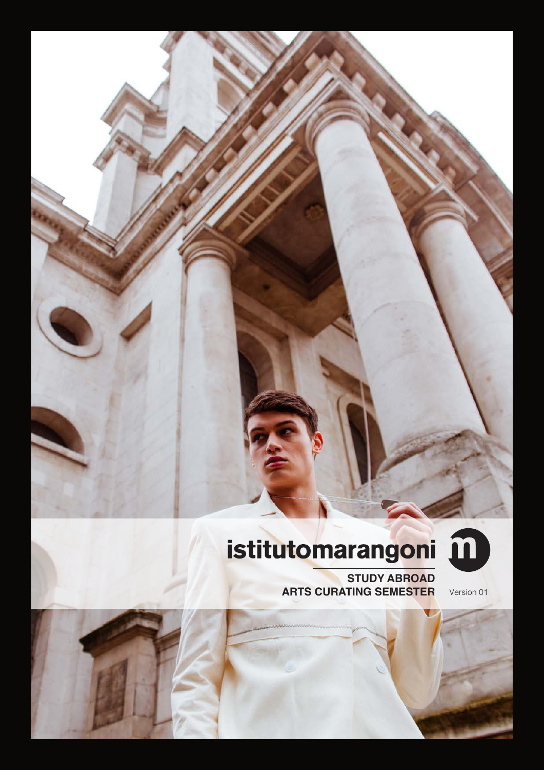# istitutomarangoni m

**STUDY ABROAD ARTS CURATING SEMESTER** Version 01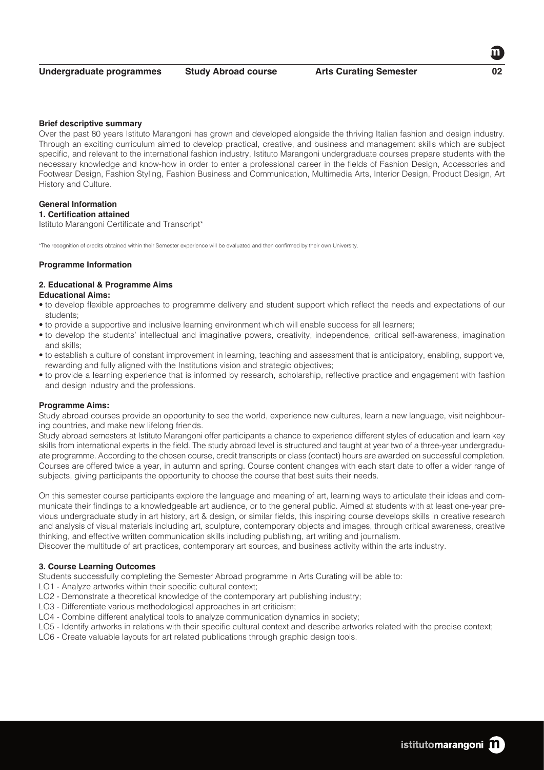#### **Brief descriptive summary**

Over the past 80 years Istituto Marangoni has grown and developed alongside the thriving Italian fashion and design industry. Through an exciting curriculum aimed to develop practical, creative, and business and management skills which are subject specific, and relevant to the international fashion industry, Istituto Marangoni undergraduate courses prepare students with the necessary knowledge and know-how in order to enter a professional career in the fields of Fashion Design, Accessories and Footwear Design, Fashion Styling, Fashion Business and Communication, Multimedia Arts, Interior Design, Product Design, Art History and Culture.

# **General Information**

# **1. Certification attained**

Istituto Marangoni Certificate and Transcript\*

\*The recognition of credits obtained within their Semester experience will be evaluated and then confirmed by their own University.

#### **Programme Information**

# **2. Educational & Programme Aims**

# **Educational Aims:**

- to develop flexible approaches to programme delivery and student support which reflect the needs and expectations of our students;
- to provide a supportive and inclusive learning environment which will enable success for all learners;
- to develop the students' intellectual and imaginative powers, creativity, independence, critical self-awareness, imagination and skills;
- to establish a culture of constant improvement in learning, teaching and assessment that is anticipatory, enabling, supportive, rewarding and fully aligned with the Institutions vision and strategic objectives;
- to provide a learning experience that is informed by research, scholarship, reflective practice and engagement with fashion and design industry and the professions.

#### **Programme Aims:**

Study abroad courses provide an opportunity to see the world, experience new cultures, learn a new language, visit neighbouring countries, and make new lifelong friends.

Study abroad semesters at Istituto Marangoni offer participants a chance to experience different styles of education and learn key skills from international experts in the field. The study abroad level is structured and taught at year two of a three-year undergraduate programme. According to the chosen course, credit transcripts or class (contact) hours are awarded on successful completion. Courses are offered twice a year, in autumn and spring. Course content changes with each start date to offer a wider range of subjects, giving participants the opportunity to choose the course that best suits their needs.

On this semester course participants explore the language and meaning of art, learning ways to articulate their ideas and communicate their findings to a knowledgeable art audience, or to the general public. Aimed at students with at least one-year previous undergraduate study in art history, art & design, or similar fields, this inspiring course develops skills in creative research and analysis of visual materials including art, sculpture, contemporary objects and images, through critical awareness, creative thinking, and effective written communication skills including publishing, art writing and journalism.

Discover the multitude of art practices, contemporary art sources, and business activity within the arts industry.

#### **3. Course Learning Outcomes**

Students successfully completing the Semester Abroad programme in Arts Curating will be able to:

- LO1 Analyze artworks within their specific cultural context;
- LO2 Demonstrate a theoretical knowledge of the contemporary art publishing industry;
- LO3 Differentiate various methodological approaches in art criticism;
- LO4 Combine different analytical tools to analyze communication dynamics in society;
- LO5 Identify artworks in relations with their specific cultural context and describe artworks related with the precise context;
- LO6 Create valuable layouts for art related publications through graphic design tools.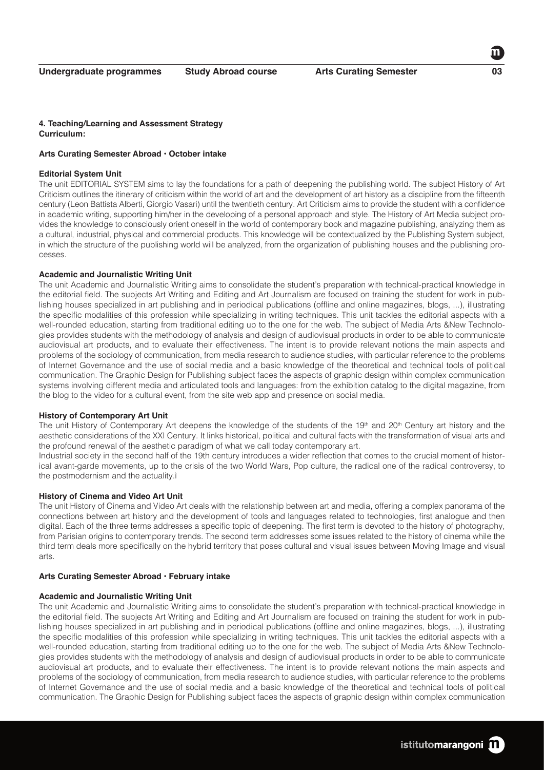#### **4. Teaching/Learning and Assessment Strategy Curriculum:**

# **Arts Curating Semester Abroad • October intake**

#### **Editorial System Unit**

The unit EDITORIAL SYSTEM aims to lay the foundations for a path of deepening the publishing world. The subject History of Art Criticism outlines the itinerary of criticism within the world of art and the development of art history as a discipline from the fifteenth century (Leon Battista Alberti, Giorgio Vasari) until the twentieth century. Art Criticism aims to provide the student with a confidence in academic writing, supporting him/her in the developing of a personal approach and style. The History of Art Media subject provides the knowledge to consciously orient oneself in the world of contemporary book and magazine publishing, analyzing them as a cultural, industrial, physical and commercial products. This knowledge will be contextualized by the Publishing System subject, in which the structure of the publishing world will be analyzed, from the organization of publishing houses and the publishing processes.

#### **Academic and Journalistic Writing Unit**

The unit Academic and Journalistic Writing aims to consolidate the student's preparation with technical-practical knowledge in the editorial field. The subjects Art Writing and Editing and Art Journalism are focused on training the student for work in publishing houses specialized in art publishing and in periodical publications (offline and online magazines, blogs, ...), illustrating the specific modalities of this profession while specializing in writing techniques. This unit tackles the editorial aspects with a well-rounded education, starting from traditional editing up to the one for the web. The subject of Media Arts &New Technologies provides students with the methodology of analysis and design of audiovisual products in order to be able to communicate audiovisual art products, and to evaluate their effectiveness. The intent is to provide relevant notions the main aspects and problems of the sociology of communication, from media research to audience studies, with particular reference to the problems of Internet Governance and the use of social media and a basic knowledge of the theoretical and technical tools of political communication. The Graphic Design for Publishing subject faces the aspects of graphic design within complex communication systems involving different media and articulated tools and languages: from the exhibition catalog to the digital magazine, from the blog to the video for a cultural event, from the site web app and presence on social media.

#### **History of Contemporary Art Unit**

The unit History of Contemporary Art deepens the knowledge of the students of the 19<sup>th</sup> and 20<sup>th</sup> Century art history and the aesthetic considerations of the XXI Century. It links historical, political and cultural facts with the transformation of visual arts and the profound renewal of the aesthetic paradigm of what we call today contemporary art.

Industrial society in the second half of the 19th century introduces a wider reflection that comes to the crucial moment of historical avant-garde movements, up to the crisis of the two World Wars, Pop culture, the radical one of the radical controversy, to the postmodernism and the actuality.ì

#### **History of Cinema and Video Art Unit**

The unit History of Cinema and Video Art deals with the relationship between art and media, offering a complex panorama of the connections between art history and the development of tools and languages related to technologies, first analogue and then digital. Each of the three terms addresses a specific topic of deepening. The first term is devoted to the history of photography, from Parisian origins to contemporary trends. The second term addresses some issues related to the history of cinema while the third term deals more specifically on the hybrid territory that poses cultural and visual issues between Moving Image and visual arts.

#### **Arts Curating Semester Abroad • February intake**

#### **Academic and Journalistic Writing Unit**

The unit Academic and Journalistic Writing aims to consolidate the student's preparation with technical-practical knowledge in the editorial field. The subjects Art Writing and Editing and Art Journalism are focused on training the student for work in publishing houses specialized in art publishing and in periodical publications (offline and online magazines, blogs, ...), illustrating the specific modalities of this profession while specializing in writing techniques. This unit tackles the editorial aspects with a well-rounded education, starting from traditional editing up to the one for the web. The subject of Media Arts &New Technologies provides students with the methodology of analysis and design of audiovisual products in order to be able to communicate audiovisual art products, and to evaluate their effectiveness. The intent is to provide relevant notions the main aspects and problems of the sociology of communication, from media research to audience studies, with particular reference to the problems of Internet Governance and the use of social media and a basic knowledge of the theoretical and technical tools of political communication. The Graphic Design for Publishing subject faces the aspects of graphic design within complex communication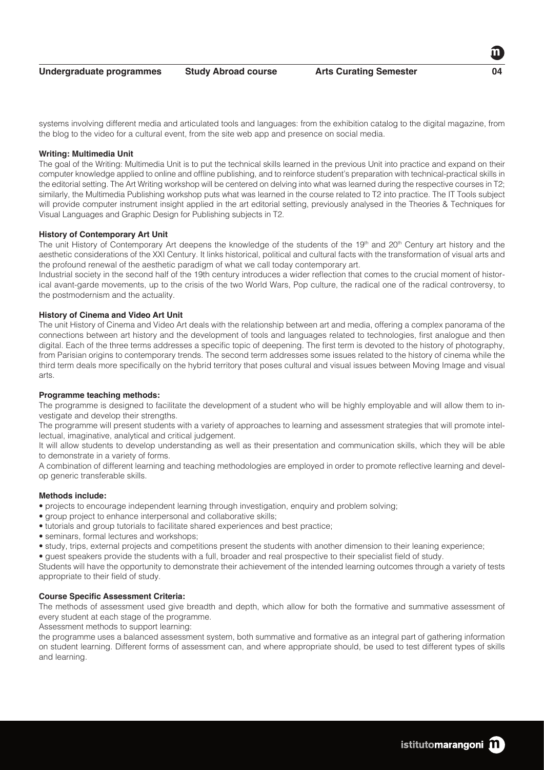**Undergraduate programmes Study Abroad course Arts Curating Semester 04**

systems involving different media and articulated tools and languages: from the exhibition catalog to the digital magazine, from the blog to the video for a cultural event, from the site web app and presence on social media.

# **Writing: Multimedia Unit**

The goal of the Writing: Multimedia Unit is to put the technical skills learned in the previous Unit into practice and expand on their computer knowledge applied to online and offline publishing, and to reinforce student's preparation with technical-practical skills in the editorial setting. The Art Writing workshop will be centered on delving into what was learned during the respective courses in T2; similarly, the Multimedia Publishing workshop puts what was learned in the course related to T2 into practice. The IT Tools subject will provide computer instrument insight applied in the art editorial setting, previously analysed in the Theories & Techniques for Visual Languages and Graphic Design for Publishing subjects in T2.

# **History of Contemporary Art Unit**

The unit History of Contemporary Art deepens the knowledge of the students of the 19<sup>th</sup> and 20<sup>th</sup> Century art history and the aesthetic considerations of the XXI Century. It links historical, political and cultural facts with the transformation of visual arts and the profound renewal of the aesthetic paradigm of what we call today contemporary art.

Industrial society in the second half of the 19th century introduces a wider reflection that comes to the crucial moment of historical avant-garde movements, up to the crisis of the two World Wars, Pop culture, the radical one of the radical controversy, to the postmodernism and the actuality.

# **History of Cinema and Video Art Unit**

The unit History of Cinema and Video Art deals with the relationship between art and media, offering a complex panorama of the connections between art history and the development of tools and languages related to technologies, first analogue and then digital. Each of the three terms addresses a specific topic of deepening. The first term is devoted to the history of photography, from Parisian origins to contemporary trends. The second term addresses some issues related to the history of cinema while the third term deals more specifically on the hybrid territory that poses cultural and visual issues between Moving Image and visual arts.

#### **Programme teaching methods:**

The programme is designed to facilitate the development of a student who will be highly employable and will allow them to investigate and develop their strengths.

The programme will present students with a variety of approaches to learning and assessment strategies that will promote intellectual, imaginative, analytical and critical judgement.

It will allow students to develop understanding as well as their presentation and communication skills, which they will be able to demonstrate in a variety of forms.

A combination of different learning and teaching methodologies are employed in order to promote reflective learning and develop generic transferable skills.

# **Methods include:**

- projects to encourage independent learning through investigation, enquiry and problem solving;
- group project to enhance interpersonal and collaborative skills;
- tutorials and group tutorials to facilitate shared experiences and best practice;
- seminars, formal lectures and workshops:
- study, trips, external projects and competitions present the students with another dimension to their leaning experience;

• guest speakers provide the students with a full, broader and real prospective to their specialist field of study.

Students will have the opportunity to demonstrate their achievement of the intended learning outcomes through a variety of tests appropriate to their field of study.

# **Course Specific Assessment Criteria:**

The methods of assessment used give breadth and depth, which allow for both the formative and summative assessment of every student at each stage of the programme.

Assessment methods to support learning:

the programme uses a balanced assessment system, both summative and formative as an integral part of gathering information on student learning. Different forms of assessment can, and where appropriate should, be used to test different types of skills and learning.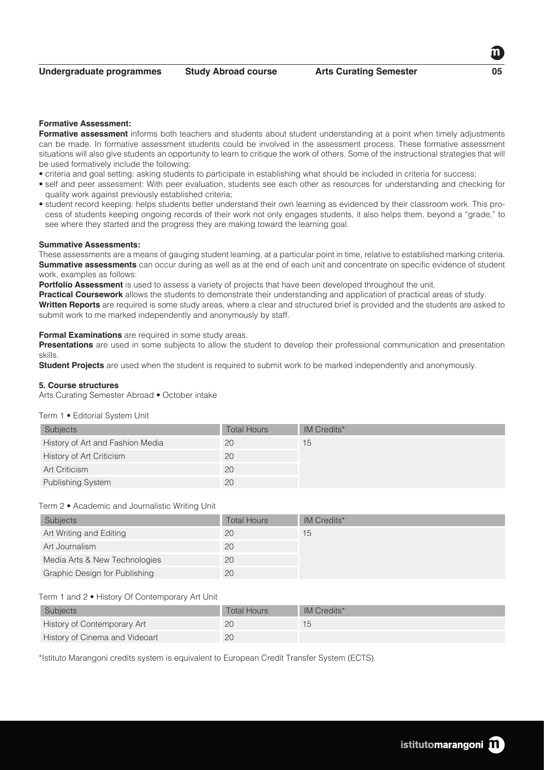#### **Formative Assessment:**

**Formative assessment** informs both teachers and students about student understanding at a point when timely adjustments can be made. In formative assessment students could be involved in the assessment process. These formative assessment situations will also give students an opportunity to learn to critique the work of others. Some of the instructional strategies that will be used formatively include the following:

- criteria and goal setting: asking students to participate in establishing what should be included in criteria for success;
- self and peer assessment: With peer evaluation, students see each other as resources for understanding and checking for quality work against previously established criteria;
- student record keeping: helps students better understand their own learning as evidenced by their classroom work. This process of students keeping ongoing records of their work not only engages students, it also helps them, beyond a "grade," to see where they started and the progress they are making toward the learning goal.

#### **Summative Assessments:**

These assessments are a means of gauging student learning, at a particular point in time, relative to established marking criteria. **Summative assessments** can occur during as well as at the end of each unit and concentrate on specific evidence of student work, examples as follows:

**Portfolio Assessment** is used to assess a variety of projects that have been developed throughout the unit.

**Practical Coursework** allows the students to demonstrate their understanding and application of practical areas of study. **Written Reports** are required is some study areas, where a clear and structured brief is provided and the students are asked to submit work to me marked independently and anonymously by staff.

#### **Formal Examinations** are required in some study areas.

**Presentations** are used in some subjects to allow the student to develop their professional communication and presentation skills.

**Student Projects** are used when the student is required to submit work to be marked independently and anonymously.

#### **5. Course structures**

Arts Curating Semester Abroad • October intake

#### Term 1 • Editorial System Unit

| Subjects                         | <b>Total Hours</b> | IM Credits* |
|----------------------------------|--------------------|-------------|
| History of Art and Fashion Media | 20                 | 15          |
| <b>History of Art Criticism</b>  | 20                 |             |
| Art Criticism                    | 20                 |             |
| Publishing System                | 20                 |             |

### Term 2 • Academic and Journalistic Writing Unit

| Subjects                      | <b>Total Hours</b> | <b>IM Credits*</b> |
|-------------------------------|--------------------|--------------------|
| Art Writing and Editing       | 20                 | 15                 |
| Art Journalism                | 20                 |                    |
| Media Arts & New Technologies | 20                 |                    |
| Graphic Design for Publishing | 20                 |                    |

# Term 1 and 2 • History Of Contemporary Art Unit

| Subjects                       | Total Hours | IM Credits* |
|--------------------------------|-------------|-------------|
| History of Contemporary Art    | 20          |             |
| History of Cinema and Videoart | 20          |             |

\*Istituto Marangoni credits system is equivalent to European Credit Transfer System (ECTS).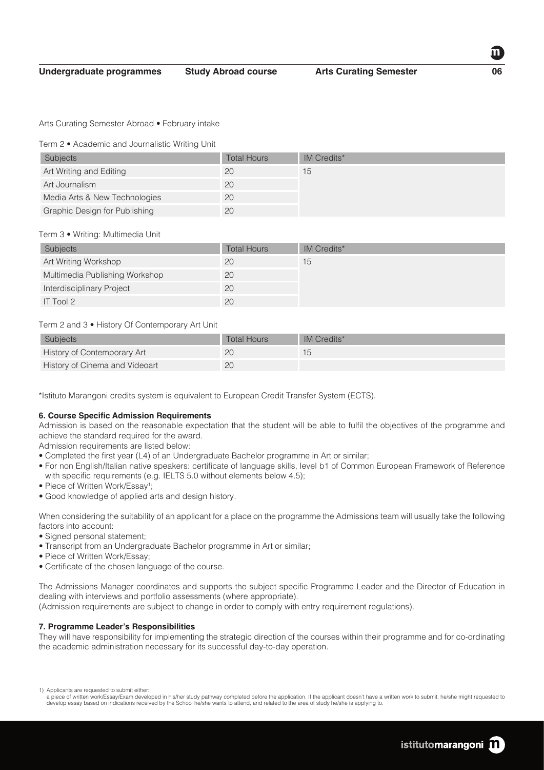Arts Curating Semester Abroad • February intake

Term 2 • Academic and Journalistic Writing Unit

| <b>Subjects</b>               | <b>Total Hours</b> | <b>IM Credits*</b> |
|-------------------------------|--------------------|--------------------|
| Art Writing and Editing       | 20                 | 15                 |
| Art Journalism                | 20                 |                    |
| Media Arts & New Technologies | 20                 |                    |
| Graphic Design for Publishing | 20                 |                    |

#### Term 3 • Writing: Multimedia Unit

| <b>Subjects</b>                | <b>Total Hours</b> | IM Credits* |
|--------------------------------|--------------------|-------------|
| Art Writing Workshop           | 20                 | 15          |
| Multimedia Publishing Workshop | 20                 |             |
| Interdisciplinary Project      | 20                 |             |
| IT Tool $2$                    | 20                 |             |

# Term 2 and 3 • History Of Contemporary Art Unit

| <b>Subjects</b>                | Total Hours | IM Credits* |
|--------------------------------|-------------|-------------|
| History of Contemporary Art    | 20          |             |
| History of Cinema and Videoart | 20          |             |

\*Istituto Marangoni credits system is equivalent to European Credit Transfer System (ECTS).

#### **6. Course Specific Admission Requirements**

Admission is based on the reasonable expectation that the student will be able to fulfil the objectives of the programme and achieve the standard required for the award.

Admission requirements are listed below:

- Completed the first year (L4) of an Undergraduate Bachelor programme in Art or similar;
- For non English/Italian native speakers: certificate of language skills, level b1 of Common European Framework of Reference with specific requirements (e.g. IELTS 5.0 without elements below 4.5);
- Piece of Written Work/Essay<sup>1</sup>;
- Good knowledge of applied arts and design history.

When considering the suitability of an applicant for a place on the programme the Admissions team will usually take the following factors into account:

- Signed personal statement:
- Transcript from an Undergraduate Bachelor programme in Art or similar;
- Piece of Written Work/Essay;
- Certificate of the chosen language of the course.

The Admissions Manager coordinates and supports the subject specific Programme Leader and the Director of Education in dealing with interviews and portfolio assessments (where appropriate).

(Admission requirements are subject to change in order to comply with entry requirement regulations).

# **7. Programme Leader's Responsibilities**

They will have responsibility for implementing the strategic direction of the courses within their programme and for co-ordinating the academic administration necessary for its successful day-to-day operation.

<sup>1)</sup> Applicants are requested to submit either:

a piece of written work/Essay/Exam developed in his/her study pathway completed before the application. If the applicant doesn't have a written work to submit, he/she might requested to develop essay based on indications received by the School he/she wants to attend, and related to the area of study he/she is applying to.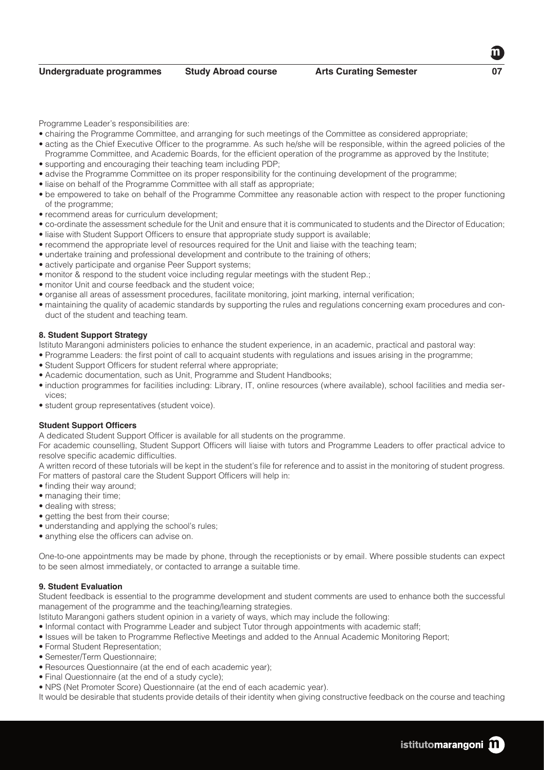Programme Leader's responsibilities are:

- chairing the Programme Committee, and arranging for such meetings of the Committee as considered appropriate;
- acting as the Chief Executive Officer to the programme. As such he/she will be responsible, within the agreed policies of the Programme Committee, and Academic Boards, for the efficient operation of the programme as approved by the Institute;
- supporting and encouraging their teaching team including PDP;
- advise the Programme Committee on its proper responsibility for the continuing development of the programme;
- liaise on behalf of the Programme Committee with all staff as appropriate;
- be empowered to take on behalf of the Programme Committee any reasonable action with respect to the proper functioning of the programme;
- recommend areas for curriculum development;
- co-ordinate the assessment schedule for the Unit and ensure that it is communicated to students and the Director of Education; • liaise with Student Support Officers to ensure that appropriate study support is available;
- recommend the appropriate level of resources required for the Unit and liaise with the teaching team;
- undertake training and professional development and contribute to the training of others;
- actively participate and organise Peer Support systems;
- monitor & respond to the student voice including regular meetings with the student Rep.;
- monitor Unit and course feedback and the student voice;
- organise all areas of assessment procedures, facilitate monitoring, joint marking, internal verification;
- maintaining the quality of academic standards by supporting the rules and regulations concerning exam procedures and conduct of the student and teaching team.

# **8. Student Support Strategy**

Istituto Marangoni administers policies to enhance the student experience, in an academic, practical and pastoral way:

- Programme Leaders: the first point of call to acquaint students with regulations and issues arising in the programme;
- Student Support Officers for student referral where appropriate;
- Academic documentation, such as Unit, Programme and Student Handbooks;
- induction programmes for facilities including: Library, IT, online resources (where available), school facilities and media services;
- student group representatives (student voice).

# **Student Support Officers**

A dedicated Student Support Officer is available for all students on the programme.

For academic counselling, Student Support Officers will liaise with tutors and Programme Leaders to offer practical advice to resolve specific academic difficulties.

A written record of these tutorials will be kept in the student's file for reference and to assist in the monitoring of student progress. For matters of pastoral care the Student Support Officers will help in:

- finding their way around;
- managing their time;
- dealing with stress;
- getting the best from their course;
- understanding and applying the school's rules;
- anything else the officers can advise on.

One-to-one appointments may be made by phone, through the receptionists or by email. Where possible students can expect to be seen almost immediately, or contacted to arrange a suitable time.

# **9. Student Evaluation**

Student feedback is essential to the programme development and student comments are used to enhance both the successful management of the programme and the teaching/learning strategies.

Istituto Marangoni gathers student opinion in a variety of ways, which may include the following:

- Informal contact with Programme Leader and subject Tutor through appointments with academic staff;
- Issues will be taken to Programme Reflective Meetings and added to the Annual Academic Monitoring Report;
- Formal Student Representation;
- Semester/Term Questionnaire;
- Resources Questionnaire (at the end of each academic year);
- Final Questionnaire (at the end of a study cycle);
- NPS (Net Promoter Score) Questionnaire (at the end of each academic year).

It would be desirable that students provide details of their identity when giving constructive feedback on the course and teaching